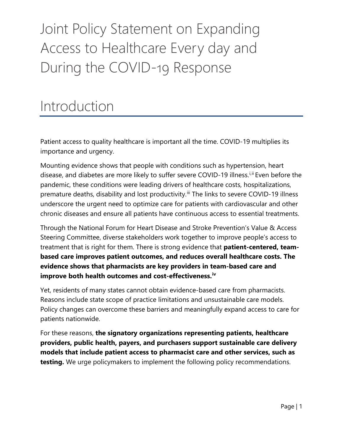# Joint Policy Statement on Expanding Access to Healthcare Every day and During the COVID-19 Response

#### Introduction

Patient access to quality healthcare is important all the time. COVID-19 multiplies its importance and urgency.

Mounting evidence shows that people with conditions such as hypertension, heart d[i](#page-4-0)sease, and diabetes are more likely to suffer severe COVID-19 illness.<sup>i, [ii](#page-4-1)</sup> Even before the pandemic, these conditions were leading drivers of healthcare costs, hospitalizations, premature deaths, disability and lost productivity.<sup>[iii](#page-4-2)</sup> The links to severe COVID-19 illness underscore the urgent need to optimize care for patients with cardiovascular and other chronic diseases and ensure all patients have continuous access to essential treatments.

Through the National Forum for Heart Disease and Stroke Prevention's Value & Access Steering Committee, diverse stakeholders work together to improve people's access to treatment that is right for them. There is strong evidence that **patient-centered, teambased care improves patient outcomes, and reduces overall healthcare costs. The evidence shows that pharmacists are key providers in team-based care and improve both health outcomes and cost-effectiveness.[iv](#page-4-3)**

Yet, residents of many states cannot obtain evidence-based care from pharmacists. Reasons include state scope of practice limitations and unsustainable care models. Policy changes can overcome these barriers and meaningfully expand access to care for patients nationwide.

For these reasons, **the signatory organizations representing patients, healthcare providers, public health, payers, and purchasers support sustainable care delivery models that include patient access to pharmacist care and other services, such as testing.** We urge policymakers to implement the following policy recommendations.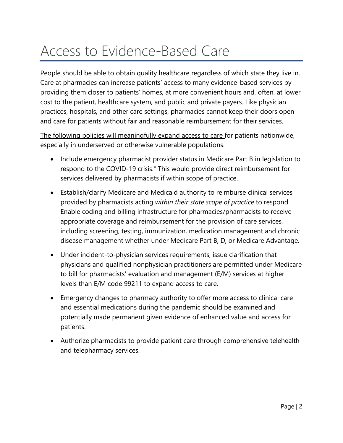### Access to Evidence-Based Care

People should be able to obtain quality healthcare regardless of which state they live in. Care at pharmacies can increase patients' access to many evidence-based services by providing them closer to patients' homes, at more convenient hours and, often, at lower cost to the patient, healthcare system, and public and private payers. Like physician practices, hospitals, and other care settings, pharmacies cannot keep their doors open and care for patients without fair and reasonable reimbursement for their services.

The following policies will meaningfully expand access to care for patients nationwide, especially in underserved or otherwise vulnerable populations.

- Include emergency pharmacist provider status in Medicare Part B in legislation to respond to the COVID-19 crisis. $\theta$  This would pro[v](#page-4-4)ide direct reimbursement for services delivered by pharmacists if within scope of practice.
- Establish/clarify Medicare and Medicaid authority to reimburse clinical services provided by pharmacists acting *within their state scope of practice* to respond. Enable coding and billing infrastructure for pharmacies/pharmacists to receive appropriate coverage and reimbursement for the provision of care services, including screening, testing, immunization, medication management and chronic disease management whether under Medicare Part B, D, or Medicare Advantage.
- Under incident-to-physician services requirements, issue clarification that physicians and qualified nonphysician practitioners are permitted under Medicare to bill for pharmacists' evaluation and management (E/M) services at higher levels than E/M code 99211 to expand access to care.
- Emergency changes to pharmacy authority to offer more access to clinical care and essential medications during the pandemic should be examined and potentially made permanent given evidence of enhanced value and access for patients.
- Authorize pharmacists to provide patient care through comprehensive telehealth and telepharmacy services.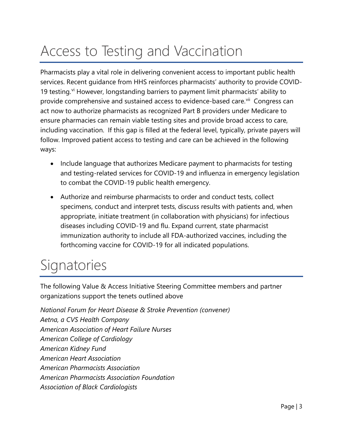## Access to Testing and Vaccination

Pharmacists play a vital role in delivering convenient access to important public health services. Recent guidance from HHS reinforces pharmacists' authority to provide COVID19 testing.<sup>[vi](#page-5-0)</sup> However, longstanding barriers to payment limit pharmacists' ability to provide comprehensive and sustained access to evidence-based care.<sup>vii</sup> Congress can act now to authorize pharmacists as recognized Part B providers under Medicare to ensure pharmacies can remain viable testing sites and provide broad access to care, including vaccination. If this gap is filled at the federal level, typically, private payers will follow. Improved patient access to testing and care can be achieved in the following ways:

- Include language that authorizes Medicare payment to pharmacists for testing and testing-related services for COVID-19 and influenza in emergency legislation to combat the COVID-19 public health emergency.
- Authorize and reimburse pharmacists to order and conduct tests, collect specimens, conduct and interpret tests, discuss results with patients and, when appropriate, initiate treatment (in collaboration with physicians) for infectious diseases including COVID-19 and flu. Expand current, state pharmacist immunization authority to include all FDA-authorized vaccines, including the forthcoming vaccine for COVID-19 for all indicated populations.

### **Signatories**

The following Value & Access Initiative Steering Committee members and partner organizations support the tenets outlined above

*National Forum for Heart Disease & Stroke Prevention (convener) Aetna, a CVS Health Company American Association of Heart Failure Nurses American College of Cardiology American Kidney Fund American Heart Association American Pharmacists Association American Pharmacists Association Foundation Association of Black Cardiologists*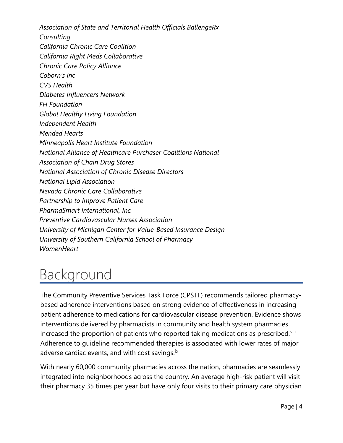*Association of State and Territorial Health Officials BallengeRx Consulting California Chronic Care Coalition California Right Meds Collaborative Chronic Care Policy Alliance Coborn's Inc CVS Health Diabetes Influencers Network FH Foundation Global Healthy Living Foundation Independent Health Mended Hearts Minneapolis Heart Institute Foundation National Alliance of Healthcare Purchaser Coalitions National Association of Chain Drug Stores National Association of Chronic Disease Directors National Lipid Association Nevada Chronic Care Collaborative Partnership to Improve Patient Care PharmaSmart International, Inc. Preventive Cardiovascular Nurses Association University of Michigan Center for Value-Based Insurance Design University of Southern California School of Pharmacy WomenHeart* 

### Background

The Community Preventive Services Task Force (CPSTF) recommends tailored pharmacybased adherence interventions based on strong evidence of effectiveness in increasing patient adherence to medications for cardiovascular disease prevention. Evidence shows interventions delivered by pharmacists in community and health system pharmacies increased the proportion of patients who reported taking medications as prescribed.<sup>VIII</sup> Adherence to guideline recommended therapies is associated with lower rates of major adverse cardiac events, and with cost savings. $\frac{1}{x}$ 

With nearly 60,000 community pharmacies across the nation, pharmacies are seamlessly integrated into neighborhoods across the country. An average high-risk patient will visit their pharmacy 35 times per year but have only four visits to their primary care physician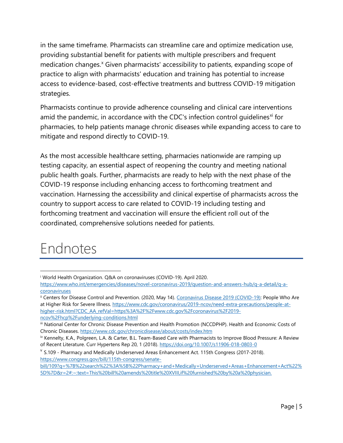in the same timeframe. Pharmacists can streamline care and optimize medication use, providing substantial benefit for patients with multiple prescribers and frequent medication changes.<sup>[x](#page-5-4)</sup> Given pharmacists' accessibility to patients, expanding scope of practice to align with pharmacists' education and training has potential to increase access to evidence-based, cost-effective treatments and buttress COVID-19 mitigation strategies.

Pharmacists continue to provide adherence counseling and clinical care interventions amid the pandemic, in accordance with the CDC's infection control quidelines<sup>[xi](#page-5-5)</sup> for pharmacies, to help patients manage chronic diseases while expanding access to care to mitigate and respond directly to COVID-19.

As the most accessible healthcare setting, pharmacies nationwide are ramping up testing capacity, an essential aspect of reopening the country and meeting national public health goals. Further, pharmacists are ready to help with the next phase of the COVID-19 response including enhancing access to forthcoming treatment and vaccination. Harnessing the accessibility and clinical expertise of pharmacists across the country to support access to care related to COVID-19 including testing and forthcoming treatment and vaccination will ensure the efficient roll out of the coordinated, comprehensive solutions needed for patients.

#### Endnotes

<span id="page-4-4"></span> $V$  S.109 - Pharmacy and Medically Underserved Areas Enhancement Act. 115th Congress (2017-2018). [https://www.congress.gov/bill/115th-congress/senate-](https://www.congress.gov/bill/115th-congress/senate-bill/109?q=%7B%22search%22%3A%5B%22Pharmacy+and+Medically+Underserved+Areas+Enhancement+Act%22%5D%7D&r=2#:%7E:text=This%20bill%20amends%20title%20XVIII,if%20furnished%20by%20a%20physician.)

<span id="page-4-0"></span><sup>i</sup> World Health Organization. Q&A on coronaviruses (COVID-19). April 2020.

[https://www.who.int/emergencies/diseases/novel-coronavirus-2019/question-and-answers-hub/q-a-detail/q-a](https://www.who.int/emergencies/diseases/novel-coronavirus-2019/question-and-answers-hub/q-a-detail/q-a-coronaviruses)[coronaviruses](https://www.who.int/emergencies/diseases/novel-coronavirus-2019/question-and-answers-hub/q-a-detail/q-a-coronaviruses)

<span id="page-4-1"></span>ii Centers for Disease Control and Prevention. (2020, May 14). [Coronavirus Disease 2019 \(COVID-19\):](https://www.cdc.gov/coronavirus/2019-nCoV/index.html) People Who Are at Higher Risk for Severe Illness. [https://www.cdc.gov/coronavirus/2019-ncov/need-extra-precautions/people-at](https://www.cdc.gov/coronavirus/2019-ncov/need-extra-precautions/people-at-higher-risk.html?CDC_AA_refVal=https%3A%2F%2Fwww.cdc.gov%2Fcoronavirus%2F2019-ncov%2Fhcp%2Funderlying-conditions.html)[higher-risk.html?CDC\\_AA\\_refVal=https%3A%2F%2Fwww.cdc.gov%2Fcoronavirus%2F2019](https://www.cdc.gov/coronavirus/2019-ncov/need-extra-precautions/people-at-higher-risk.html?CDC_AA_refVal=https%3A%2F%2Fwww.cdc.gov%2Fcoronavirus%2F2019-ncov%2Fhcp%2Funderlying-conditions.html) [ncov%2Fhcp%2Funderlying-conditions.html](https://www.cdc.gov/coronavirus/2019-ncov/need-extra-precautions/people-at-higher-risk.html?CDC_AA_refVal=https%3A%2F%2Fwww.cdc.gov%2Fcoronavirus%2F2019-ncov%2Fhcp%2Funderlying-conditions.html)

<span id="page-4-2"></span>iii National Center for Chronic Disease Prevention and Health Promotion (NCCDPHP). Health and Economic Costs of Chronic Diseases.<https://www.cdc.gov/chronicdisease/about/costs/index.htm>

<span id="page-4-3"></span>iv Kennelty, K.A., Polgreen, L.A. & Carter, B.L. Team-Based Care with Pharmacists to Improve Blood Pressure: A Review of Recent Literature. Curr Hypertens Rep 20, 1 (2018).<https://doi.org/10.1007/s11906-018-0803-0>

[bill/109?q=%7B%22search%22%3A%5B%22Pharmacy+and+Medically+Underserved+Areas+Enhancement+Act%22%](https://www.congress.gov/bill/115th-congress/senate-bill/109?q=%7B%22search%22%3A%5B%22Pharmacy+and+Medically+Underserved+Areas+Enhancement+Act%22%5D%7D&r=2#:%7E:text=This%20bill%20amends%20title%20XVIII,if%20furnished%20by%20a%20physician.) [5D%7D&r=2#:~:text=This%20bill%20amends%20title%20XVIII,if%20furnished%20by%20a%20physician.](https://www.congress.gov/bill/115th-congress/senate-bill/109?q=%7B%22search%22%3A%5B%22Pharmacy+and+Medically+Underserved+Areas+Enhancement+Act%22%5D%7D&r=2#:%7E:text=This%20bill%20amends%20title%20XVIII,if%20furnished%20by%20a%20physician.)